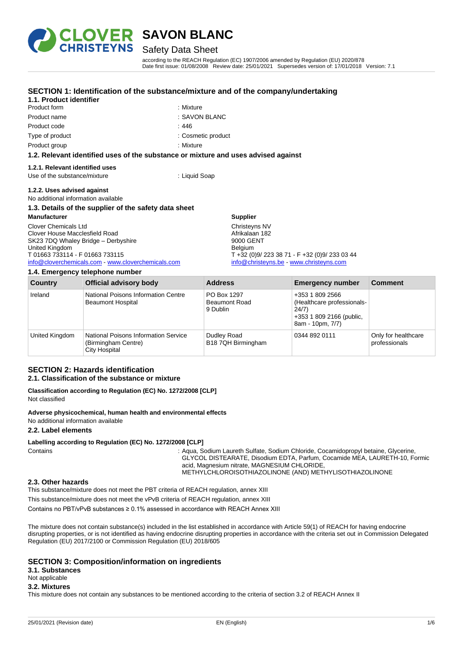

Product form **: Mixture** : Mixture

**1.1. Product identifier**

## **SAVON BLANC**

### Safety Data Sheet

**SECTION 1: Identification of the substance/mixture and of the company/undertaking**

according to the REACH Regulation (EC) 1907/2006 amended by Regulation (EU) 2020/878 Date first issue: 01/08/2008 Review date: 25/01/2021 Supersedes version of: 17/01/2018 Version: 7.1

| Product name                                                                       | : SAVON BLANC                                 |  |
|------------------------------------------------------------------------------------|-----------------------------------------------|--|
|                                                                                    |                                               |  |
| Product code                                                                       | : 446                                         |  |
| Type of product                                                                    | : Cosmetic product                            |  |
| Product group                                                                      | : Mixture                                     |  |
| 1.2. Relevant identified uses of the substance or mixture and uses advised against |                                               |  |
| 1.2.1. Relevant identified uses                                                    |                                               |  |
| Use of the substance/mixture                                                       | : Liquid Soap                                 |  |
| 1.2.2. Uses advised against                                                        |                                               |  |
| No additional information available                                                |                                               |  |
| 1.3. Details of the supplier of the safety data sheet                              |                                               |  |
| <b>Manufacturer</b>                                                                | <b>Supplier</b>                               |  |
| <b>Clover Chemicals Ltd</b>                                                        | Christeyns NV                                 |  |
| Clover House Macclesfield Road                                                     | Afrikalaan 182                                |  |
| SK23 7DQ Whaley Bridge - Derbyshire                                                | 9000 GENT                                     |  |
| United Kingdom                                                                     | <b>Belgium</b>                                |  |
| T 01663 733114 - F 01663 733115                                                    | T +32 (0)9/ 223 38 71 - F +32 (0)9/ 233 03 44 |  |
| info@cloverchemicals.com www.cloverchemicals.com                                   | info@christeyns.be - www.christeyns.com       |  |
| 1.4. Emergency telephone number                                                    |                                               |  |

| <b>Country</b> | <b>Official advisory body</b>                                                | <b>Address</b>                                  | <b>Emergency number</b>                                                                                | <b>Comment</b>                       |
|----------------|------------------------------------------------------------------------------|-------------------------------------------------|--------------------------------------------------------------------------------------------------------|--------------------------------------|
| Ireland        | National Poisons Information Centre<br><b>Beaumont Hospital</b>              | PO Box 1297<br><b>Beaumont Road</b><br>9 Dublin | +353 1 809 2566<br>(Healthcare professionals-<br>24/7)<br>+353 1 809 2166 (public,<br>8am - 10pm, 7/7) |                                      |
| United Kingdom | National Poisons Information Service<br>(Birmingham Centre)<br>City Hospital | Dudley Road<br>B18 7QH Birmingham               | 0344 892 0111                                                                                          | Only for healthcare<br>professionals |

#### **SECTION 2: Hazards identification 2.1. Classification of the substance or mixture**

**Classification according to Regulation (EC) No. 1272/2008 [CLP]** Not classified

**Adverse physicochemical, human health and environmental effects**

No additional information available

#### **2.2. Label elements**

#### **Labelling according to Regulation (EC) No. 1272/2008 [CLP]**

Contains **State 10 Contains** : Aqua, Sodium Laureth Sulfate, Sodium Chloride, Cocamidopropyl betaine, Glycerine, GLYCOL DISTEARATE, Disodium EDTA, Parfum, Cocamide MEA, LAURETH-10, Formic acid, Magnesium nitrate, MAGNESIUM CHLORIDE, METHYLCHLOROISOTHIAZOLINONE (AND) METHYLISOTHIAZOLINONE

#### **2.3. Other hazards**

This substance/mixture does not meet the PBT criteria of REACH regulation, annex XIII

This substance/mixture does not meet the vPvB criteria of REACH regulation, annex XIII

Contains no PBT/vPvB substances ≥ 0.1% assessed in accordance with REACH Annex XIII

The mixture does not contain substance(s) included in the list established in accordance with Article 59(1) of REACH for having endocrine disrupting properties, or is not identified as having endocrine disrupting properties in accordance with the criteria set out in Commission Delegated Regulation (EU) 2017/2100 or Commission Regulation (EU) 2018/605

#### **SECTION 3: Composition/information on ingredients**

**3.1. Substances**

## Not applicable

#### **3.2. Mixtures**

This mixture does not contain any substances to be mentioned according to the criteria of section 3.2 of REACH Annex II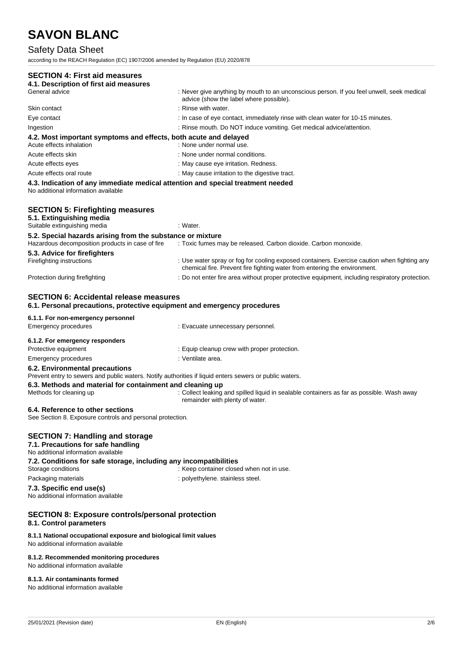## Safety Data Sheet

according to the REACH Regulation (EC) 1907/2006 amended by Regulation (EU) 2020/878

| <b>SECTION 4: First aid measures</b>                                                                                                      |                                                                                                                                                                          |
|-------------------------------------------------------------------------------------------------------------------------------------------|--------------------------------------------------------------------------------------------------------------------------------------------------------------------------|
| 4.1. Description of first aid measures                                                                                                    |                                                                                                                                                                          |
| General advice                                                                                                                            | : Never give anything by mouth to an unconscious person. If you feel unwell, seek medical<br>advice (show the label where possible).                                     |
| Skin contact                                                                                                                              | : Rinse with water.                                                                                                                                                      |
| Eye contact                                                                                                                               | : In case of eye contact, immediately rinse with clean water for 10-15 minutes.                                                                                          |
| Ingestion                                                                                                                                 | : Rinse mouth. Do NOT induce vomiting. Get medical advice/attention.                                                                                                     |
| 4.2. Most important symptoms and effects, both acute and delayed<br>Acute effects inhalation                                              | : None under normal use.                                                                                                                                                 |
| Acute effects skin                                                                                                                        | : None under normal conditions.                                                                                                                                          |
| Acute effects eyes                                                                                                                        | : May cause eye irritation. Redness.                                                                                                                                     |
| Acute effects oral route                                                                                                                  | : May cause irritation to the digestive tract.                                                                                                                           |
| 4.3. Indication of any immediate medical attention and special treatment needed<br>No additional information available                    |                                                                                                                                                                          |
| <b>SECTION 5: Firefighting measures</b><br>5.1. Extinguishing media<br>Suitable extinguishing media                                       | : Water.                                                                                                                                                                 |
| 5.2. Special hazards arising from the substance or mixture                                                                                |                                                                                                                                                                          |
| Hazardous decomposition products in case of fire                                                                                          | : Toxic fumes may be released. Carbon dioxide. Carbon monoxide.                                                                                                          |
| 5.3. Advice for firefighters<br>Firefighting instructions                                                                                 | : Use water spray or fog for cooling exposed containers. Exercise caution when fighting any<br>chemical fire. Prevent fire fighting water from entering the environment. |
| Protection during firefighting                                                                                                            | : Do not enter fire area without proper protective equipment, including respiratory protection.                                                                          |
| <b>SECTION 6: Accidental release measures</b><br>6.1. Personal precautions, protective equipment and emergency procedures                 |                                                                                                                                                                          |
| 6.1.1. For non-emergency personnel                                                                                                        |                                                                                                                                                                          |
| <b>Emergency procedures</b>                                                                                                               | : Evacuate unnecessary personnel.                                                                                                                                        |
| 6.1.2. For emergency responders                                                                                                           |                                                                                                                                                                          |
| Protective equipment                                                                                                                      | : Equip cleanup crew with proper protection.                                                                                                                             |
| Emergency procedures                                                                                                                      | : Ventilate area.                                                                                                                                                        |
| 6.2. Environmental precautions<br>Prevent entry to sewers and public waters. Notify authorities if liquid enters sewers or public waters. |                                                                                                                                                                          |
| 6.3. Methods and material for containment and cleaning up<br>Methods for cleaning up                                                      | : Collect leaking and spilled liquid in sealable containers as far as possible. Wash away<br>remainder with plenty of water.                                             |
| 6.4. Reference to other sections<br>See Section 8. Exposure controls and personal protection.                                             |                                                                                                                                                                          |
| <b>SECTION 7: Handling and storage</b><br>7.1. Precautions for safe handling<br>No additional information available                       |                                                                                                                                                                          |
| 7.2. Conditions for safe storage, including any incompatibilities<br>Storage conditions                                                   | : Keep container closed when not in use.                                                                                                                                 |
| Packaging materials                                                                                                                       | : polyethylene. stainless steel.                                                                                                                                         |
| 7.3. Specific end use(s)<br>No additional information available                                                                           |                                                                                                                                                                          |
| <b>SECTION 8: Exposure controls/personal protection</b><br>8.1. Control parameters                                                        |                                                                                                                                                                          |
| 8.1.1 National occupational exposure and biological limit values<br>No additional information available                                   |                                                                                                                                                                          |
| 8.1.2. Recommended monitoring procedures<br>No additional information available                                                           |                                                                                                                                                                          |

**8.1.3. Air contaminants formed**

No additional information available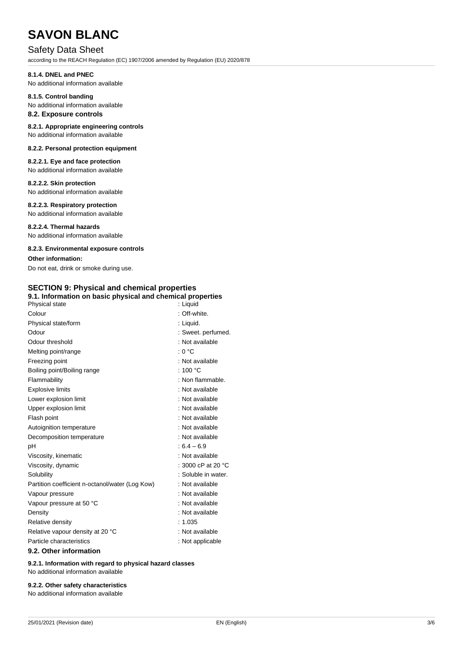### Safety Data Sheet

according to the REACH Regulation (EC) 1907/2006 amended by Regulation (EU) 2020/878

#### **8.1.4. DNEL and PNEC**

No additional information available

### **8.1.5. Control banding**

No additional information available

### **8.2. Exposure controls**

**8.2.1. Appropriate engineering controls** No additional information available

### **8.2.2. Personal protection equipment**

**8.2.2.1. Eye and face protection** No additional information available

#### **8.2.2.2. Skin protection**

No additional information available

#### **8.2.2.3. Respiratory protection**

No additional information available

**8.2.2.4. Thermal hazards** No additional information available

#### **8.2.3. Environmental exposure controls**

**Other information:**

Do not eat, drink or smoke during use.

## **SECTION 9: Physical and chemical properties**

| 9.1. Information on basic physical and chemical properties |                              |  |
|------------------------------------------------------------|------------------------------|--|
| Physical state                                             | : Liquid                     |  |
| Colour                                                     | : Off-white.                 |  |
| Physical state/form                                        | : Liquid.                    |  |
| Odour                                                      | : Sweet. perfumed.           |  |
| Odour threshold                                            | : Not available              |  |
| Melting point/range                                        | : 0 °C                       |  |
| Freezing point                                             | : Not available              |  |
| Boiling point/Boiling range                                | : 100 $^{\circ}$ C           |  |
| Flammability                                               | : Non flammable.             |  |
| <b>Explosive limits</b>                                    | : Not available              |  |
| Lower explosion limit                                      | : Not available              |  |
| Upper explosion limit                                      | : Not available              |  |
| Flash point                                                | : Not available              |  |
| Autoignition temperature                                   | : Not available              |  |
| Decomposition temperature                                  | : Not available              |  |
| рH                                                         | $:6.4 - 6.9$                 |  |
| Viscosity, kinematic                                       | : Not available              |  |
| Viscosity, dynamic                                         | : 3000 cP at 20 $^{\circ}$ C |  |
| Solubility                                                 | : Soluble in water.          |  |
| Partition coefficient n-octanol/water (Log Kow)            | : Not available              |  |
| Vapour pressure                                            | : Not available              |  |
| Vapour pressure at 50 °C                                   | : Not available              |  |
| Density                                                    | : Not available              |  |
| Relative density                                           | : 1.035                      |  |
| Relative vapour density at 20 °C                           | : Not available              |  |
| Particle characteristics                                   | : Not applicable             |  |
| 9.2. Other information                                     |                              |  |

**9.2.1. Information with regard to physical hazard classes** No additional information available

### **9.2.2. Other safety characteristics**

No additional information available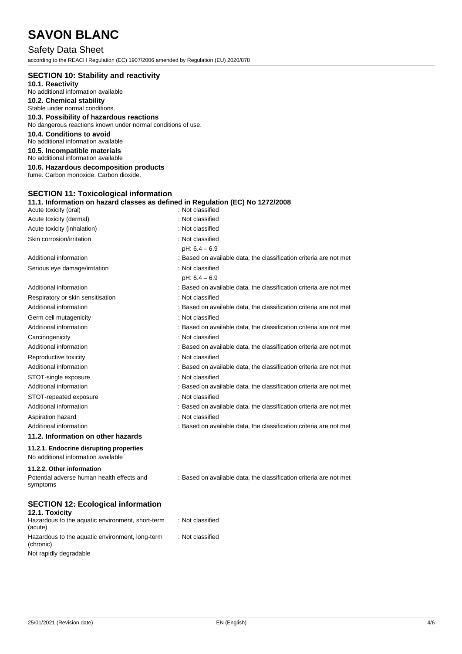## Safety Data Sheet

according to the REACH Regulation (EC) 1907/2006 amended by Regulation (EU) 2020/878

| <b>SECTION 10: Stability and reactivity</b>                                    |                  |
|--------------------------------------------------------------------------------|------------------|
| 10.1. Reactivity                                                               |                  |
| No additional information available                                            |                  |
| 10.2. Chemical stability                                                       |                  |
| Stable under normal conditions.                                                |                  |
| 10.3. Possibility of hazardous reactions                                       |                  |
| No dangerous reactions known under normal conditions of use.                   |                  |
| 10.4. Conditions to avoid                                                      |                  |
| No additional information available                                            |                  |
| 10.5. Incompatible materials                                                   |                  |
| No additional information available                                            |                  |
| 10.6. Hazardous decomposition products                                         |                  |
| fume. Carbon monoxide. Carbon dioxide.                                         |                  |
|                                                                                |                  |
| <b>SECTION 11: Toxicological information</b>                                   |                  |
| 11.1. Information on hazard classes as defined in Regulation (EC) No 1272/2008 |                  |
| Acute toxicity (oral)                                                          | : Not classified |

| <b>ACULE LUXICITY (UTAI)</b>                           | ושווככויו וטצו                                                     |
|--------------------------------------------------------|--------------------------------------------------------------------|
| Acute toxicity (dermal)                                | : Not classified                                                   |
| Acute toxicity (inhalation)                            | : Not classified                                                   |
| Skin corrosion/irritation                              | : Not classified                                                   |
|                                                        | $pH: 6.4 - 6.9$                                                    |
| Additional information                                 | : Based on available data, the classification criteria are not met |
| Serious eye damage/irritation                          | : Not classified                                                   |
|                                                        | $pH: 6.4 - 6.9$                                                    |
| Additional information                                 | : Based on available data, the classification criteria are not met |
| Respiratory or skin sensitisation                      | : Not classified                                                   |
| Additional information                                 | : Based on available data, the classification criteria are not met |
| Germ cell mutagenicity                                 | : Not classified                                                   |
| Additional information                                 | : Based on available data, the classification criteria are not met |
| Carcinogenicity                                        | : Not classified                                                   |
| Additional information                                 | : Based on available data, the classification criteria are not met |
| Reproductive toxicity                                  | : Not classified                                                   |
| Additional information                                 | : Based on available data, the classification criteria are not met |
| STOT-single exposure                                   | : Not classified                                                   |
| Additional information                                 | : Based on available data, the classification criteria are not met |
| STOT-repeated exposure                                 | : Not classified                                                   |
| Additional information                                 | : Based on available data, the classification criteria are not met |
| Aspiration hazard                                      | : Not classified                                                   |
| Additional information                                 | : Based on available data, the classification criteria are not met |
| 11.2. Information on other hazards                     |                                                                    |
| 11.2.1. Endocrine disrupting properties                |                                                                    |
| No additional information available                    |                                                                    |
| 11.2.2. Other information                              |                                                                    |
| Potential adverse human health effects and<br>symptoms | : Based on available data, the classification criteria are not met |
|                                                        |                                                                    |

## **SECTION 12: Ecological information**

| 12.1. Toxicity                                               |                  |
|--------------------------------------------------------------|------------------|
| Hazardous to the aquatic environment, short-term<br>(acute)  | : Not classified |
| Hazardous to the aquatic environment, long-term<br>(chronic) | : Not classified |
| Not rapidly degradable                                       |                  |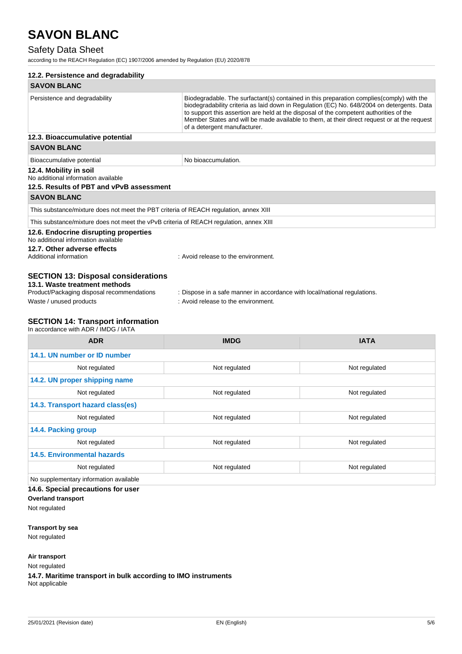## Safety Data Sheet

according to the REACH Regulation (EC) 1907/2006 amended by Regulation (EU) 2020/878

| 12.2. Persistence and degradability                                                                                                                  |                                                                                                                                                                                                                                                                                                                                                                                                                  |             |
|------------------------------------------------------------------------------------------------------------------------------------------------------|------------------------------------------------------------------------------------------------------------------------------------------------------------------------------------------------------------------------------------------------------------------------------------------------------------------------------------------------------------------------------------------------------------------|-------------|
| <b>SAVON BLANC</b>                                                                                                                                   |                                                                                                                                                                                                                                                                                                                                                                                                                  |             |
| Persistence and degradability                                                                                                                        | Biodegradable. The surfactant(s) contained in this preparation complies (comply) with the<br>biodegradability criteria as laid down in Regulation (EC) No. 648/2004 on detergents. Data<br>to support this assertion are held at the disposal of the competent authorities of the<br>Member States and will be made available to them, at their direct request or at the request<br>of a detergent manufacturer. |             |
| 12.3. Bioaccumulative potential                                                                                                                      |                                                                                                                                                                                                                                                                                                                                                                                                                  |             |
| <b>SAVON BLANC</b>                                                                                                                                   |                                                                                                                                                                                                                                                                                                                                                                                                                  |             |
| Bioaccumulative potential                                                                                                                            | No bioaccumulation.                                                                                                                                                                                                                                                                                                                                                                                              |             |
| 12.4. Mobility in soil<br>No additional information available<br>12.5. Results of PBT and vPvB assessment                                            |                                                                                                                                                                                                                                                                                                                                                                                                                  |             |
| <b>SAVON BLANC</b>                                                                                                                                   |                                                                                                                                                                                                                                                                                                                                                                                                                  |             |
| This substance/mixture does not meet the PBT criteria of REACH regulation, annex XIII                                                                |                                                                                                                                                                                                                                                                                                                                                                                                                  |             |
| This substance/mixture does not meet the vPvB criteria of REACH regulation, annex XIII                                                               |                                                                                                                                                                                                                                                                                                                                                                                                                  |             |
| 12.6. Endocrine disrupting properties<br>No additional information available<br>12.7. Other adverse effects<br>Additional information                | : Avoid release to the environment.                                                                                                                                                                                                                                                                                                                                                                              |             |
| <b>SECTION 13: Disposal considerations</b><br>13.1. Waste treatment methods<br>Product/Packaging disposal recommendations<br>Waste / unused products | : Dispose in a safe manner in accordance with local/national regulations.<br>: Avoid release to the environment.                                                                                                                                                                                                                                                                                                 |             |
| <b>SECTION 14: Transport information</b><br>In accordance with ADR / IMDG / IATA                                                                     |                                                                                                                                                                                                                                                                                                                                                                                                                  |             |
| <b>ADR</b>                                                                                                                                           | <b>IMDG</b>                                                                                                                                                                                                                                                                                                                                                                                                      | <b>IATA</b> |
| 14.1. UN number or ID number                                                                                                                         |                                                                                                                                                                                                                                                                                                                                                                                                                  |             |

| 14.1. UN number or ID number           |               |               |  |
|----------------------------------------|---------------|---------------|--|
| Not regulated                          | Not regulated | Not regulated |  |
| 14.2. UN proper shipping name          |               |               |  |
| Not regulated                          | Not regulated | Not regulated |  |
| 14.3. Transport hazard class(es)       |               |               |  |
| Not regulated                          | Not regulated | Not regulated |  |
| 14.4. Packing group                    |               |               |  |
| Not regulated                          | Not regulated | Not regulated |  |
| <b>14.5. Environmental hazards</b>     |               |               |  |
| Not regulated                          | Not regulated | Not regulated |  |
| No supplementary information available |               |               |  |

**14.6. Special precautions for user**

**Overland transport** Not regulated

**Transport by sea**

Not regulated

**Air transport**

Not regulated

**14.7. Maritime transport in bulk according to IMO instruments** Not applicable